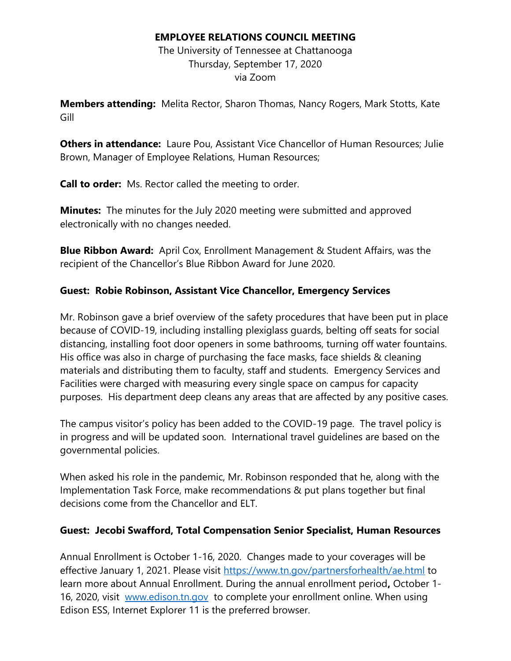### **EMPLOYEE RELATIONS COUNCIL MEETING**

The University of Tennessee at Chattanooga Thursday, September 17, 2020 via Zoom

**Members attending:** Melita Rector, Sharon Thomas, Nancy Rogers, Mark Stotts, Kate Gill

**Others in attendance:** Laure Pou, Assistant Vice Chancellor of Human Resources; Julie Brown, Manager of Employee Relations, Human Resources;

**Call to order:** Ms. Rector called the meeting to order.

**Minutes:** The minutes for the July 2020 meeting were submitted and approved electronically with no changes needed.

**Blue Ribbon Award:** April Cox, Enrollment Management & Student Affairs, was the recipient of the Chancellor's Blue Ribbon Award for June 2020.

## **Guest: Robie Robinson, Assistant Vice Chancellor, Emergency Services**

Mr. Robinson gave a brief overview of the safety procedures that have been put in place because of COVID-19, including installing plexiglass guards, belting off seats for social distancing, installing foot door openers in some bathrooms, turning off water fountains. His office was also in charge of purchasing the face masks, face shields & cleaning materials and distributing them to faculty, staff and students. Emergency Services and Facilities were charged with measuring every single space on campus for capacity purposes. His department deep cleans any areas that are affected by any positive cases.

The campus visitor's policy has been added to the COVID-19 page. The travel policy is in progress and will be updated soon. International travel guidelines are based on the governmental policies.

When asked his role in the pandemic, Mr. Robinson responded that he, along with the Implementation Task Force, make recommendations & put plans together but final decisions come from the Chancellor and ELT.

## **Guest: Jecobi Swafford, Total Compensation Senior Specialist, Human Resources**

Annual Enrollment is October 1-16, 2020. Changes made to your coverages will be effective January 1, 2021. Please visit<https://www.tn.gov/partnersforhealth/ae.html> to learn more about Annual Enrollment. During the annual enrollment period**,** October 1- 16, 2020, visit [www.edison.tn.gov](http://www.edison.tn.gov/) to complete your enrollment online. When using Edison ESS, Internet Explorer 11 is the preferred browser.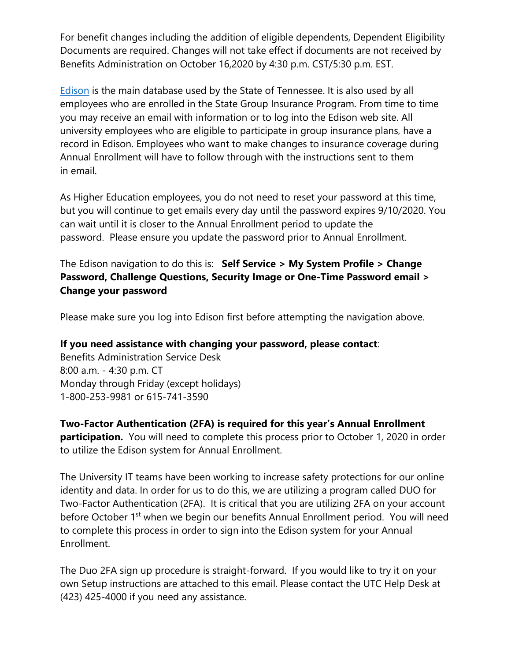For benefit changes including the addition of eligible dependents, Dependent Eligibility Documents are required. Changes will not take effect if documents are not received by Benefits Administration on October 16,2020 by 4:30 p.m. CST/5:30 p.m. EST.

[Edison](https://sso.edison.tn.gov/psp/paprd/EMPLOYEE/EMPL/h/?tab=PAPP_GUEST) is the main database used by the State of Tennessee. It is also used by all employees who are enrolled in the State Group Insurance Program. From time to time you may receive an email with information or to log into the Edison web site. All university employees who are eligible to participate in group insurance plans, have a record in Edison. Employees who want to make changes to insurance coverage during Annual Enrollment will have to follow through with the instructions sent to them in email.

As Higher Education employees, you do not need to reset your password at this time, but you will continue to get emails every day until the password expires 9/10/2020. You can wait until it is closer to the Annual Enrollment period to update the password. Please ensure you update the password prior to Annual Enrollment.

The Edison navigation to do this is: **Self Service > My System Profile > Change Password, Challenge Questions, Security Image or One-Time Password email > Change your password**

Please make sure you log into Edison first before attempting the navigation above.

#### **If you need assistance with changing your password, please contact**:

Benefits Administration Service Desk 8:00 a.m. - 4:30 p.m. CT Monday through Friday (except holidays) 1-800-253-9981 or 615-741-3590

# **Two-Factor Authentication (2FA) is required for this year's Annual Enrollment**

**participation.** You will need to complete this process prior to October 1, 2020 in order to utilize the Edison system for Annual Enrollment.

The University IT teams have been working to increase safety protections for our online identity and data. In order for us to do this, we are utilizing a program called DUO for Two-Factor Authentication (2FA). It is critical that you are utilizing 2FA on your account before October 1<sup>st</sup> when we begin our benefits Annual Enrollment period. You will need to complete this process in order to sign into the Edison system for your Annual Enrollment.

The Duo 2FA sign up procedure is straight-forward. If you would like to try it on your own Setup instructions are attached to this email. Please contact the UTC Help Desk at (423) 425-4000 if you need any assistance.